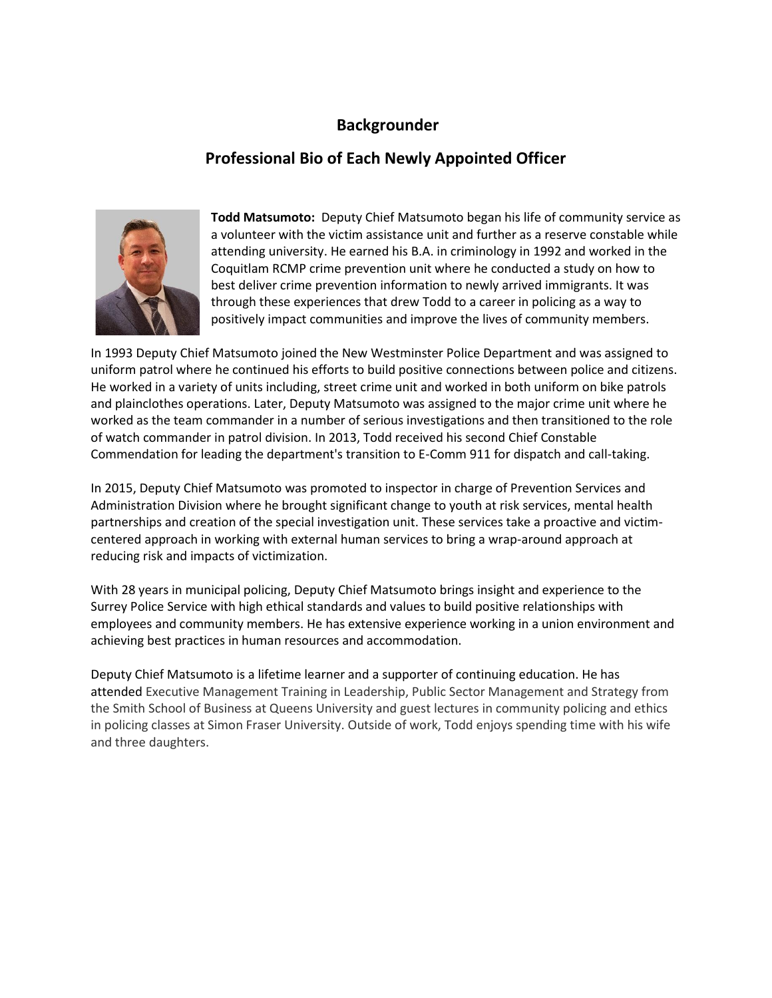## **Backgrounder**

## **Professional Bio of Each Newly Appointed Officer**



**Todd Matsumoto:** Deputy Chief Matsumoto began his life of community service as a volunteer with the victim assistance unit and further as a reserve constable while attending university. He earned his B.A. in criminology in 1992 and worked in the Coquitlam RCMP crime prevention unit where he conducted a study on how to best deliver crime prevention information to newly arrived immigrants. It was through these experiences that drew Todd to a career in policing as a way to positively impact communities and improve the lives of community members.

In 1993 Deputy Chief Matsumoto joined the New Westminster Police Department and was assigned to uniform patrol where he continued his efforts to build positive connections between police and citizens. He worked in a variety of units including, street crime unit and worked in both uniform on bike patrols and plainclothes operations. Later, Deputy Matsumoto was assigned to the major crime unit where he worked as the team commander in a number of serious investigations and then transitioned to the role of watch commander in patrol division. In 2013, Todd received his second Chief Constable Commendation for leading the department's transition to E-Comm 911 for dispatch and call-taking.

In 2015, Deputy Chief Matsumoto was promoted to inspector in charge of Prevention Services and Administration Division where he brought significant change to youth at risk services, mental health partnerships and creation of the special investigation unit. These services take a proactive and victimcentered approach in working with external human services to bring a wrap-around approach at reducing risk and impacts of victimization.

With 28 years in municipal policing, Deputy Chief Matsumoto brings insight and experience to the Surrey Police Service with high ethical standards and values to build positive relationships with employees and community members. He has extensive experience working in a union environment and achieving best practices in human resources and accommodation.

Deputy Chief Matsumoto is a lifetime learner and a supporter of continuing education. He has attended Executive Management Training in Leadership, Public Sector Management and Strategy from the Smith School of Business at Queens University and guest lectures in community policing and ethics in policing classes at Simon Fraser University. Outside of work, Todd enjoys spending time with his wife and three daughters.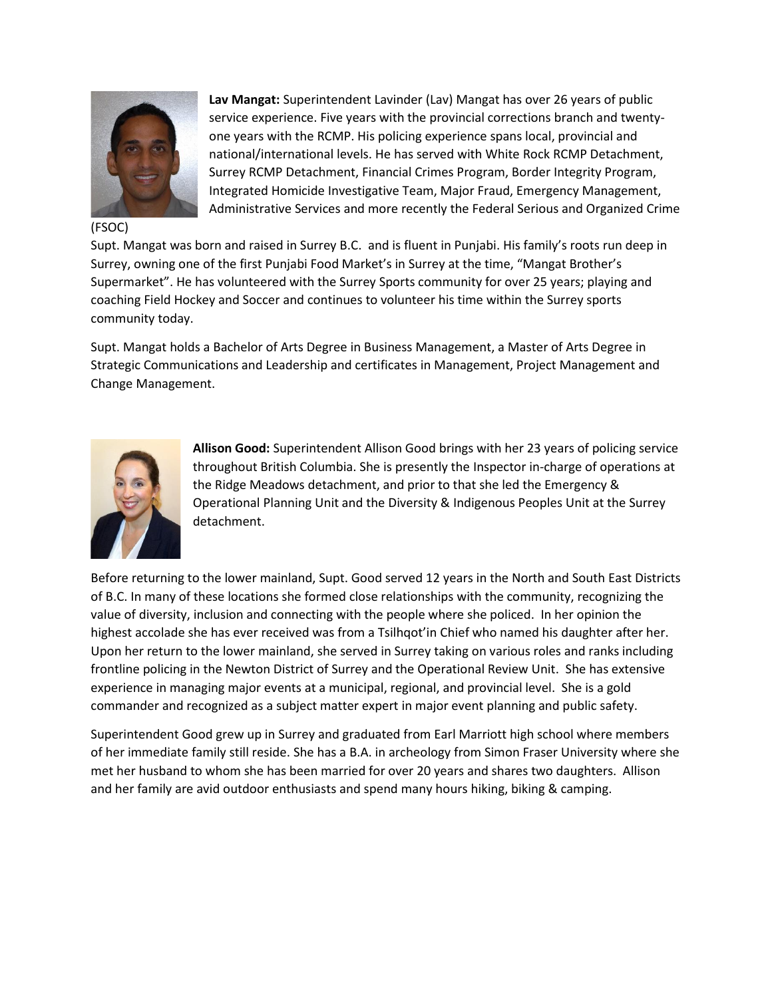

(FSOC)

**Lav Mangat:** Superintendent Lavinder (Lav) Mangat has over 26 years of public service experience. Five years with the provincial corrections branch and twentyone years with the RCMP. His policing experience spans local, provincial and national/international levels. He has served with White Rock RCMP Detachment, Surrey RCMP Detachment, Financial Crimes Program, Border Integrity Program, Integrated Homicide Investigative Team, Major Fraud, Emergency Management, Administrative Services and more recently the Federal Serious and Organized Crime

Supt. Mangat was born and raised in Surrey B.C. and is fluent in Punjabi. His family's roots run deep in Surrey, owning one of the first Punjabi Food Market's in Surrey at the time, "Mangat Brother's Supermarket". He has volunteered with the Surrey Sports community for over 25 years; playing and coaching Field Hockey and Soccer and continues to volunteer his time within the Surrey sports community today.

Supt. Mangat holds a Bachelor of Arts Degree in Business Management, a Master of Arts Degree in Strategic Communications and Leadership and certificates in Management, Project Management and Change Management.



**Allison Good:** Superintendent Allison Good brings with her 23 years of policing service throughout British Columbia. She is presently the Inspector in-charge of operations at the Ridge Meadows detachment, and prior to that she led the Emergency & Operational Planning Unit and the Diversity & Indigenous Peoples Unit at the Surrey detachment.

Before returning to the lower mainland, Supt. Good served 12 years in the North and South East Districts of B.C. In many of these locations she formed close relationships with the community, recognizing the value of diversity, inclusion and connecting with the people where she policed. In her opinion the highest accolade she has ever received was from a Tsilhqot'in Chief who named his daughter after her. Upon her return to the lower mainland, she served in Surrey taking on various roles and ranks including frontline policing in the Newton District of Surrey and the Operational Review Unit. She has extensive experience in managing major events at a municipal, regional, and provincial level. She is a gold commander and recognized as a subject matter expert in major event planning and public safety.

Superintendent Good grew up in Surrey and graduated from Earl Marriott high school where members of her immediate family still reside. She has a B.A. in archeology from Simon Fraser University where she met her husband to whom she has been married for over 20 years and shares two daughters. Allison and her family are avid outdoor enthusiasts and spend many hours hiking, biking & camping.